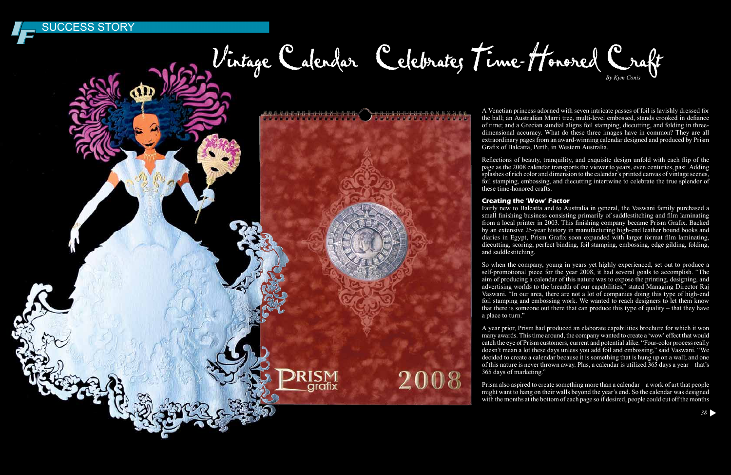A Venetian princess adorned with seven intricate passes of foil is lavishly dressed for the ball; an Australian Marri tree, multi-level embossed, stands crooked in defiance of time; and a Grecian sundial aligns foil stamping, diecutting, and folding in threedimensional accuracy. What do these three images have in common? They are all extraordinary pages from an award-winning calendar designed and produced by Prism

Grafix of Balcatta, Perth, in Western Australia. Reflections of beauty, tranquility, and exquisite design unfold with each flip of the page as the 2008 calendar transports the viewer to years, even centuries, past. Adding splashes of rich color and dimension to the calendar's printed canvas of vintage scenes, foil stamping, embossing, and diecutting intertwine to celebrate the true splendor of these time-honored crafts.

Fairly new to Balcatta and to Australia in general, the Vaswani family purchased a small finishing business consisting primarily of saddlestitching and film laminating from a local printer in 2003. This finishing company became Prism Grafix. Backed by an extensive 25-year history in manufacturing high-end leather bound books and diaries in Egypt, Prism Grafix soon expanded with larger format film laminating, diecutting, scoring, perfect binding, foil stamping, embossing, edge gilding, folding, and saddlestitching.

So when the company, young in years yet highly experienced, set out to produce a self-promotional piece for the year 2008, it had several goals to accomplish. "The aim of producing a calendar of this nature was to expose the printing, designing, and advertising worlds to the breadth of our capabilities," stated Managing Director Raj Vaswani. "In our area, there are not a lot of companies doing this type of high-end foil stamping and embossing work. We wanted to reach designers to let them know that there is someone out there that can produce this type of quality – that they have a place to turn."

# **JCCESS STORY**



aratıx

2008

A year prior, Prism had produced an elaborate capabilities brochure for which it won many awards. This time around, the company wanted to create a 'wow' effect that would catch the eye of Prism customers, current and potential alike. "Four-color process really doesn't mean a lot these days unless you add foil and embossing," said Vaswani. "We decided to create a calendar because it is something that is hung up on a wall; and one of this nature is never thrown away. Plus, a calendar is utilized 365 days a year – that's 365 days of marketing."

Prism also aspired to create something more than a calendar – a work of art that people might want to hang on their walls beyond the year's end. So the calendar was designed with the months at the bottom of each page so if desired, people could cut off the months

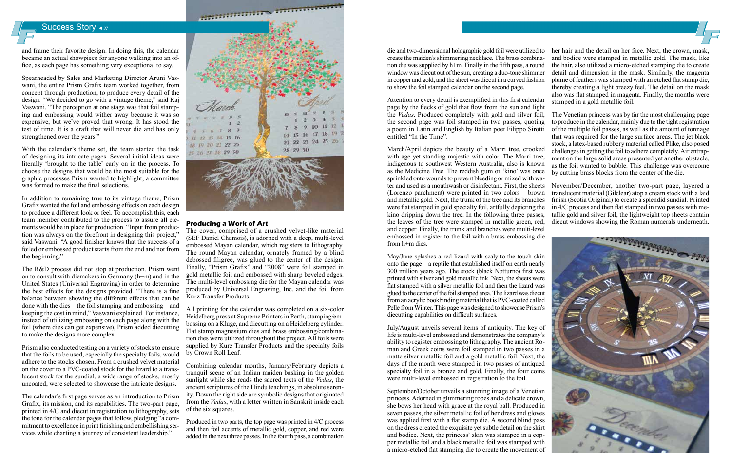# Success Story **→**<sub>37</sub>

and frame their favorite design. In doing this, the calendar became an actual showpiece for anyone walking into an office, as each page has something very exceptional to say.

Spearheaded by Sales and Marketing Director Aruni Vaswani, the entire Prism Grafix team worked together, from concept through production, to produce every detail of the design. "We decided to go with a vintage theme," said Raj Vaswani. "The perception at one stage was that foil stamping and embossing would wither away because it was so expensive; but we've proved that wrong. It has stood the test of time. It is a craft that will never die and has only strengthened over the years."

With the calendar's theme set, the team started the task of designing its intricate pages. Several initial ideas were literally 'brought to the table' early on in the process. To choose the designs that would be the most suitable for the graphic processes Prism wanted to highlight, a committee was formed to make the final selections.

In addition to remaining true to its vintage theme, Prism Grafix wanted the foil and embossing effects on each design to produce a different look or feel. To accomplish this, each team member contributed to the process to assure all elements would be in place for production. "Input from production was always on the forefront in designing this project,' said Vaswani. "A good finisher knows that the success of a foiled or embossed product starts from the end and not from the beginning."

The R&D process did not stop at production. Prism went on to consult with diemakers in Germany (h+m) and in the United States (Universal Engraving) in order to determine the best effects for the designs provided. "There is a fine balance between showing the different effects that can be done with the dies – the foil stamping and embossing – and keeping the cost in mind," Vaswani explained. For instance, instead of utilizing embossing on each page along with the foil (where dies can get expensive), Prism added diecutting to make the designs more complex.

Prism also conducted testing on a variety of stocks to ensure that the foils to be used, especially the specialty foils, would adhere to the stocks chosen. From a crushed velvet material on the cover to a PVC-coated stock for the lizard to a translucent stock for the sundial, a wide range of stocks, mostly uncoated, were selected to showcase the intricate designs.

The calendar's first page serves as an introduction to Prism Grafix, its mission, and its capabilities. The two-part page, printed in 4/C and diecut in registration to lithography, sets the tone for the calendar pages that follow, pledging "a commitment to excellence in print finishing and embellishing services while charting a journey of consistent leadership."



### **Producing a Work of Art**

The cover, comprised of a crushed velvet-like material (SEF Daniel Chamois), is adorned with a deep, multi-level embossed Mayan calendar, which registers to lithography. The round Mayan calendar, ornately framed by a blind debossed filigree, was glued to the center of the design. Finally, "Prism Grafix" and "2008" were foil stamped in gold metallic foil and embossed with sharp beveled edges. The multi-level embossing die for the Mayan calendar was produced by Universal Engraving, Inc. and the foil from Kurz Transfer Products.

All printing for the calendar was completed on a six-color Heidelberg press at Supreme Printers in Perth, stamping/embossing on a Kluge, and diecutting on a Heidelberg cylinder. Flat stamp magnesium dies and brass embossing/combination dies were utilized throughout the project. All foils were supplied by Kurz Transfer Products and the specialty foils by Crown Roll Leaf.

Combining calendar months, January/February depicts a tranquil scene of an Indian maiden basking in the golden sunlight while she reads the sacred texts of the *Vedas*, the ancient scriptures of the Hindu teachings, in absolute serenity. Down the right side are symbolic designs that originated from the *Vedas*, with a letter written in Sanskrit inside each of the six squares.

Produced in two parts, the top page was printed in 4/C process and then foil accents of metallic gold, copper, and red were added in the next three passes. In the fourth pass, a combination

page by the flecks of gold that flow from the sun and light the *Vedas*. Produced completely with gold and silver foil, the second page was foil stamped in two passes, quoting a poem in Latin and English by Italian poet Filippo Sirotti entitled "In the Time".

March/April depicts the beauty of a Marri tree, crooked challenges in getting the foil to adhere completely. Air entrapwith age yet standing majestic with color. The Marri tree, ment on the large solid areas presented yet another obstacle, indigenous to southwest Western Australia, also is known as the foil wanted to bubble. This challenge was overcome as the Medicine Tree. The reddish gum or 'kino' was once by cutting brass blocks from the center of the die. sprinkled onto wounds to prevent bleeding or mixed with water and used as a mouthwash or disinfectant. First, the sheets November/December, another two-part page, layered a translucent material (Gilclear) atop a cream stock with a laid (Lorenzo parchment) were printed in two colors – brown and metallic gold. Next, the trunk of the tree and its branches finish (Scotia Original) to create a splendid sundial. Printed were flat stamped in gold specialty foil, artfully depicting the in 4/C process and then flat stamped in two passes with mekino dripping down the tree. In the following three passes, tallic gold and silver foil, the lightweight top sheets contain the leaves of the tree were stamped in metallic green, red, diecut windows showing the Roman numerals underneath. and copper. Finally, the trunk and branches were multi-level embossed in register to the foil with a brass embossing die **THE PERSONAL REAL PROPERTY** from h+m dies.

die and two-dimensional holographic gold foil were utilized to her hair and the detail on her face. Next, the crown, mask, create the maiden's shimmering necklace. The brass combination die was supplied by h+m. Finally in the fifth pass, a round window was diecut out of the sun, creating a duo-tone shimmer in copper and gold, and the sheet was diecut in a curved fashion to show the foil stamped calendar on the second page. Attention to every detail is exemplified in this first calendar and bodice were stamped in metallic gold. The mask, like the hair, also utilized a micro-etched stamping die to create detail and dimension in the mask. Similarly, the magenta plume of feathers was stamped with an etched flat stamp die, thereby creating a light breezy feel. The detail on the mask also was flat stamped in magenta. Finally, the months were stamped in a gold metallic foil.

May/June splashes a red lizard with scaly-to-the-touch skin onto the page – a reptile that established itself on earth nearly 300 million years ago. The stock (black Notturno) first was printed with silver and gold metallic ink. Next, the sheets were flat stamped with a silver metallic foil and then the lizard was glued to the center of the foil stamped area. The lizard was diecut from an acrylic bookbinding material that is PVC-coated called Pelle from Winter. This page was designed to showcase Prism's diecutting capabilities on difficult surfaces.

July/August unveils several items of antiquity. The key of life is multi-level embossed and demonstrates the company's ability to register embossing to lithography. The ancient Roman and Greek coins were foil stamped in two passes in a matte silver metallic foil and a gold metallic foil. Next, the days of the month were stamped in two passes of antiqued specialty foil in a bronze and gold. Finally, the four coins were multi-level embossed in registration to the foil.

September/October unveils a stunning image of a Venetian princess. Adorned in glimmering robes and a delicate crown, she bows her head with grace at the royal ball. Produced in seven passes, the silver metallic foil of her dress and gloves was applied first with a flat stamp die. A second blind pass on the dress created the exquisite yet subtle detail on the skirt and bodice. Next, the princess' skin was stamped in a copper metallic foil and a black metallic foil was stamped with a micro-etched flat stamping die to create the movement of



The Venetian princess was by far the most challenging page to produce in the calendar, mainly due to the tight registration of the multiple foil passes, as well as the amount of tonnage that was required for the large surface areas. The jet black stock, a latex-based rubbery material called Plike, also posed